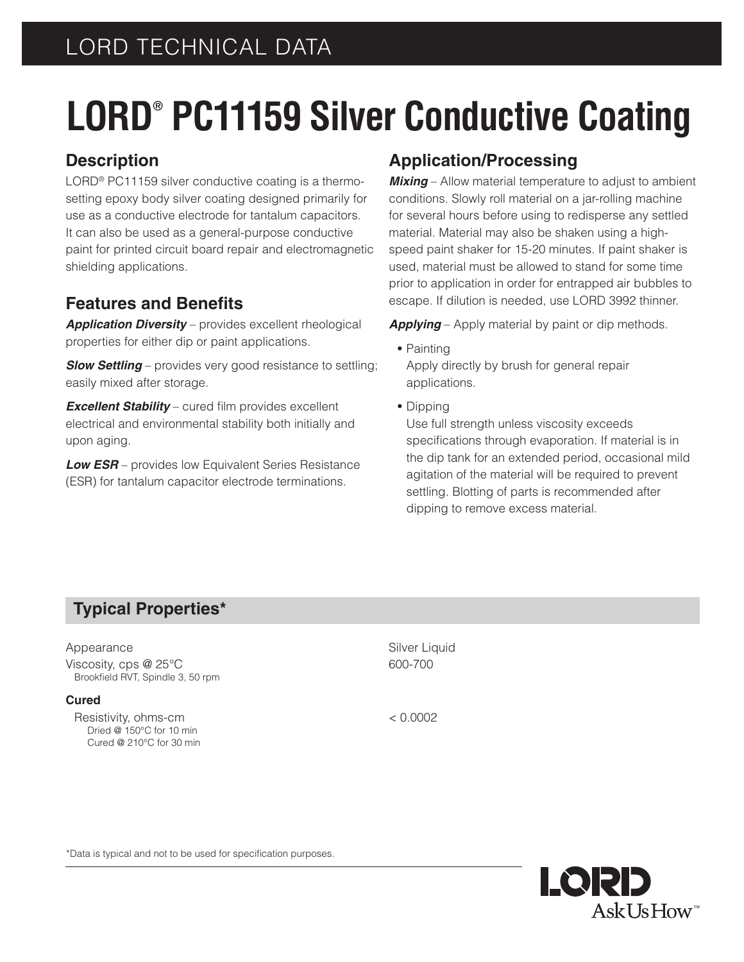# LORD TECHNICAL DATA

# **LORD® PC11159 Silver Conductive Coating**

## **Description**

LORD<sup>®</sup> PC11159 silver conductive coating is a thermosetting epoxy body silver coating designed primarily for use as a conductive electrode for tantalum capacitors. It can also be used as a general-purpose conductive paint for printed circuit board repair and electromagnetic shielding applications.

## **Features and Benefits**

*Application Diversity* – provides excellent rheological properties for either dip or paint applications.

**Slow Settling** – provides very good resistance to settling; easily mixed after storage.

*Excellent Stability* – cured film provides excellent electrical and environmental stability both initially and upon aging.

*Low ESR* – provides low Equivalent Series Resistance (ESR) for tantalum capacitor electrode terminations.

## **Application/Processing**

*Mixing* – Allow material temperature to adjust to ambient conditions. Slowly roll material on a jar-rolling machine for several hours before using to redisperse any settled material. Material may also be shaken using a highspeed paint shaker for 15-20 minutes. If paint shaker is used, material must be allowed to stand for some time prior to application in order for entrapped air bubbles to escape. If dilution is needed, use LORD 3992 thinner.

*Applying* – Apply material by paint or dip methods.

- **•** Painting Apply directly by brush for general repair applications.
- **•** Dipping

Use full strength unless viscosity exceeds specifications through evaporation. If material is in the dip tank for an extended period, occasional mild agitation of the material will be required to prevent settling. Blotting of parts is recommended after dipping to remove excess material.

## **Typical Properties\***

#### Appearance Silver Liquid

Viscosity, cps  $@25°C$  600-700 Brookfield RVT, Spindle 3, 50 rpm

#### **Cured**

Resistivity, ohms-cm < 0.0002 Dried @ 150°C for 10 min Cured @ 210°C for 30 min

\*Data is typical and not to be used for specification purposes.